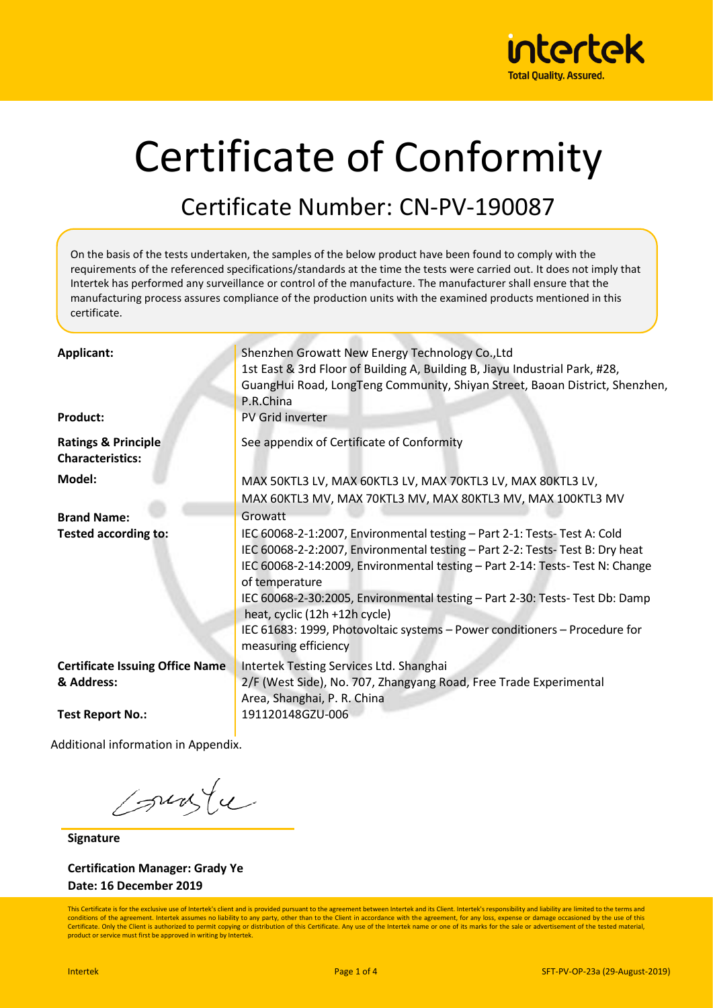

# Certificate of Conformity

#### Certificate Number: CN-PV-190087

On the basis of the tests undertaken, the samples of the below product have been found to comply with the requirements of the referenced specifications/standards at the time the tests were carried out. It does not imply that Intertek has performed any surveillance or control of the manufacture. The manufacturer shall ensure that the manufacturing process assures compliance of the production units with the examined products mentioned in this certificate.

| <b>Applicant:</b><br><b>Product:</b>                      | Shenzhen Growatt New Energy Technology Co., Ltd<br>1st East & 3rd Floor of Building A, Building B, Jiayu Industrial Park, #28,<br>GuangHui Road, LongTeng Community, Shiyan Street, Baoan District, Shenzhen,<br>P.R.China<br>PV Grid inverter                                                                                                                                                                                                                                      |
|-----------------------------------------------------------|-------------------------------------------------------------------------------------------------------------------------------------------------------------------------------------------------------------------------------------------------------------------------------------------------------------------------------------------------------------------------------------------------------------------------------------------------------------------------------------|
| <b>Ratings &amp; Principle</b><br><b>Characteristics:</b> | See appendix of Certificate of Conformity                                                                                                                                                                                                                                                                                                                                                                                                                                           |
| Model:                                                    | MAX 50KTL3 LV, MAX 60KTL3 LV, MAX 70KTL3 LV, MAX 80KTL3 LV,<br>MAX 60KTL3 MV, MAX 70KTL3 MV, MAX 80KTL3 MV, MAX 100KTL3 MV                                                                                                                                                                                                                                                                                                                                                          |
| <b>Brand Name:</b>                                        | Growatt                                                                                                                                                                                                                                                                                                                                                                                                                                                                             |
| <b>Tested according to:</b>                               | IEC 60068-2-1:2007, Environmental testing - Part 2-1: Tests- Test A: Cold<br>IEC 60068-2-2:2007, Environmental testing - Part 2-2: Tests- Test B: Dry heat<br>IEC 60068-2-14:2009, Environmental testing - Part 2-14: Tests- Test N: Change<br>of temperature<br>IEC 60068-2-30:2005, Environmental testing - Part 2-30: Tests-Test Db: Damp<br>heat, cyclic (12h +12h cycle)<br>IEC 61683: 1999, Photovoltaic systems - Power conditioners - Procedure for<br>measuring efficiency |
| <b>Certificate Issuing Office Name</b><br>& Address:      | Intertek Testing Services Ltd. Shanghai<br>2/F (West Side), No. 707, Zhangyang Road, Free Trade Experimental<br>Area, Shanghai, P. R. China                                                                                                                                                                                                                                                                                                                                         |
| <b>Test Report No.:</b>                                   | 191120148GZU-006                                                                                                                                                                                                                                                                                                                                                                                                                                                                    |
|                                                           |                                                                                                                                                                                                                                                                                                                                                                                                                                                                                     |

Additional information in Appendix.

sunte

**Signature**

**Certification Manager: Grady Ye Date: 16 December 2019**

This Certificate is for the exclusive use of Intertek's client and is provided pursuant to the agreement between Intertek and its Client. Intertek's responsibility and liability are limited to the terms and conditions of the agreement. Intertek assumes no liability to any party, other than to the Client in accordance with the agreement, for any loss, expense or damage occasioned by the use of this Certificate. Only the Client is authorized to permit copying or distribution of this Certificate. Any use of the Intertek name or one of its marks for the sale or advertisement of the tested material product or service must first be approved in writing by Intertek.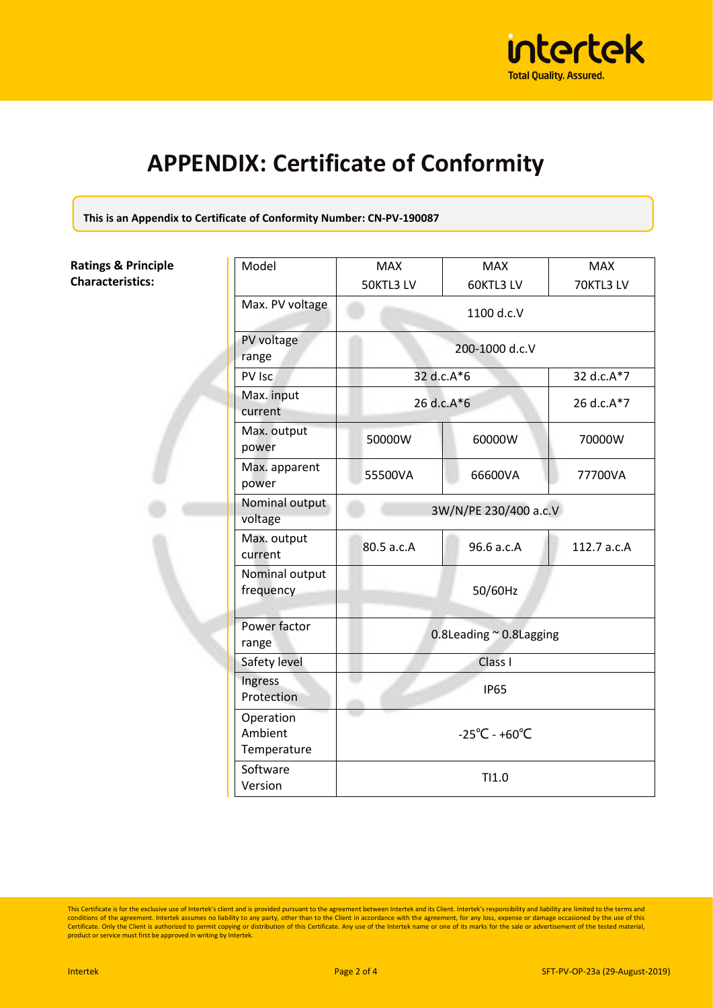

### **APPENDIX: Certificate of Conformity**

**This is an Appendix to Certificate of Conformity Number: CN-PV-190087**

**Ratings & Principle Characteristics:**

|  | Model                               | <b>MAX</b>                         | <b>MAX</b>            | <b>MAX</b>  |  |
|--|-------------------------------------|------------------------------------|-----------------------|-------------|--|
|  |                                     | 50KTL3 LV                          | 60KTL3 LV             | 70KTL3 LV   |  |
|  | Max. PV voltage                     | 1100 d.c.V                         |                       |             |  |
|  | PV voltage<br>range                 | 200-1000 d.c.V                     |                       |             |  |
|  | PV Isc                              | 32 d.c.A*6                         |                       | 32 d.c.A*7  |  |
|  | Max. input<br>current               | 26 d.c.A*6                         |                       | 26 d.c.A*7  |  |
|  | Max. output<br>power                | 50000W                             | 60000W                | 70000W      |  |
|  | Max. apparent<br>power              | 55500VA                            | 66600VA               | 77700VA     |  |
|  | Nominal output<br>voltage           |                                    | 3W/N/PE 230/400 a.c.V |             |  |
|  | Max. output<br>current              | 80.5 a.c.A                         | 96.6 a.c.A            | 112.7 a.c.A |  |
|  | Nominal output<br>frequency         |                                    | 50/60Hz               |             |  |
|  | Power factor<br>range               | 0.8Leading $\approx$ 0.8Lagging    |                       |             |  |
|  | Safety level                        | Class I                            |                       |             |  |
|  | Ingress<br>Protection               | <b>IP65</b>                        |                       |             |  |
|  | Operation<br>Ambient<br>Temperature | $-25^{\circ}$ C - +60 $^{\circ}$ C |                       |             |  |
|  | Software<br>Version                 |                                    | TI1.0                 |             |  |

This Certificate is for the exclusive use of Intertek's client and is provided pursuant to the agreement between Intertek and its Client. Intertek's responsibility and liability are limited to the terms and conditions of t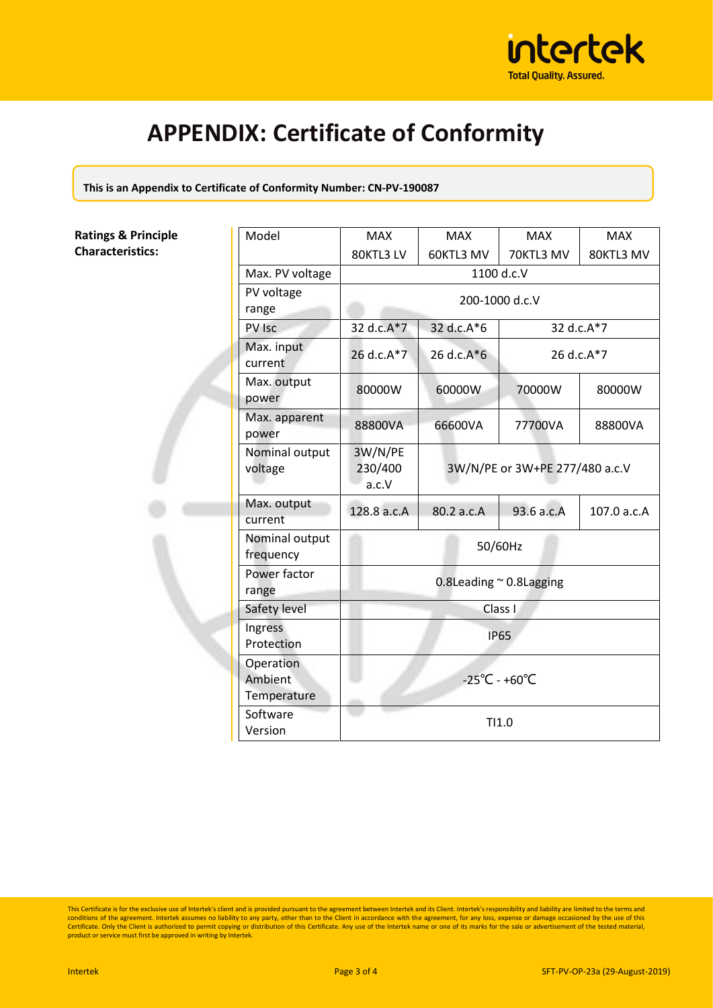

## **APPENDIX: Certificate of Conformity**

**This is an Appendix to Certificate of Conformity Number: CN-PV-190087**

#### **Ratings & Principle Characteristics:**

| Model                               | <b>MAX</b>                         | <b>MAX</b>                     | <b>MAX</b> | <b>MAX</b>  |
|-------------------------------------|------------------------------------|--------------------------------|------------|-------------|
|                                     | 80KTL3 LV                          | 60KTL3 MV                      | 70KTL3 MV  | 80KTL3 MV   |
| Max. PV voltage                     | 1100 d.c.V                         |                                |            |             |
| PV voltage<br>range                 | 200-1000 d.c.V                     |                                |            |             |
| PV Isc                              | 32 d.c.A*7                         | 32 d.c.A*6                     | 32 d.c.A*7 |             |
| Max. input<br>current               | 26 d.c.A*7                         | 26 d.c.A*6<br>26 d.c.A*7       |            |             |
| Max. output<br>power                | 80000W                             | 60000W                         | 70000W     | 80000W      |
| Max. apparent<br>power              | 88800VA                            | 66600VA                        | 77700VA    | 88800VA     |
| Nominal output<br>voltage           | 3W/N/PE<br>230/400<br>a.c.V        | 3W/N/PE or 3W+PE 277/480 a.c.V |            |             |
| Max. output<br>current              | 128.8 a.c.A                        | 80.2 a.c.A                     | 93.6 a.c.A | 107.0 a.c.A |
| Nominal output<br>frequency         | 50/60Hz                            |                                |            |             |
| Power factor<br>range               | 0.8Leading $\sim$ 0.8Lagging       |                                |            |             |
| Safety level                        | Class I                            |                                |            |             |
| Ingress<br>Protection               | <b>IP65</b>                        |                                |            |             |
| Operation<br>Ambient<br>Temperature | $-25^{\circ}$ C - +60 $^{\circ}$ C |                                |            |             |
| Software<br>Version                 | TI1.0                              |                                |            |             |

This Certificate is for the exclusive use of Intertek's client and is provided pursuant to the agreement between Intertek and its Client. Intertek's responsibility and liability are limited to the terms and conditions of t